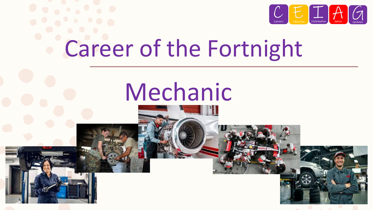

# Career of the Fortnight

## Mechanic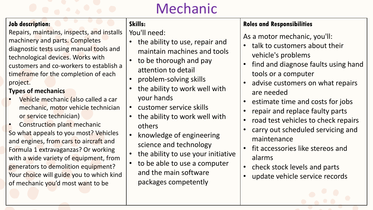### Mechanic

#### **Job description:**

Repairs, maintains, inspects, and installs machinery and parts. Completes diagnostic tests using manual tools and technological devices. Works with customers and co-workers to establish a timeframe for the completion of each project.

#### **Types of mechanics**

- Vehicle mechanic (also called a car mechanic, motor vehicle technician or service technician)
- Construction plant mechanic So what appeals to you most? Vehicles and engines, from cars to aircraft and Formula 1 extravaganzas? Or working with a wide variety of equipment, from generators to demolition equipment? Your choice will guide you to which kind of mechanic you'd most want to be

#### **Skills:**

You'll need:

- the ability to use, repair and maintain machines and tools
- to be thorough and pay attention to detail
- problem-solving skills
- the ability to work well with your hands
- customer service skills
- the ability to work well with others
- knowledge of engineering science and technology
- the ability to use your initiative
- to be able to use a computer and the main software packages competently

#### **Roles and Responsibilities**

As a motor mechanic, you'll:

- talk to customers about their vehicle's problems
- find and diagnose faults using hand tools or a computer
- advise customers on what repairs are needed
- estimate time and costs for jobs
- repair and replace faulty parts
- road test vehicles to check repairs
- carry out scheduled servicing and maintenance
- fit accessories like stereos and alarms
- check stock levels and parts
- update vehicle service records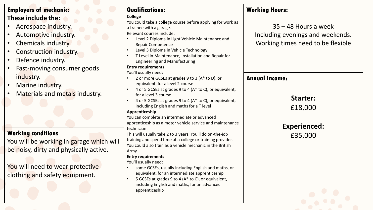#### **Employers of mechanic: These include the:**

- Aerospace industry.
- Automotive industry.
- Chemicals industry.
- Construction industry.
- Defence industry.
- Fast-moving consumer goods industry.
- Marine industry.
- Materials and metals industry.

#### **Working conditions**

You will be working in garage which be noisy, dirty and physically active

You will need to wear protective clothing and safety equipment.

|        | <b>Qualifications:</b>                                                             | <b>Working Hours:</b>             |
|--------|------------------------------------------------------------------------------------|-----------------------------------|
|        | <b>College</b>                                                                     |                                   |
|        | You could take a college course before applying for work as                        | $35 - 48$ Hours a week            |
|        | a trainee with a garage.                                                           |                                   |
|        | Relevant courses include:                                                          | Including evenings and weekends.  |
|        | Level 2 Diploma in Light Vehicle Maintenance and<br>$\bullet$                      |                                   |
|        | <b>Repair Competence</b>                                                           | Working times need to be flexible |
|        | Level 3 Diploma in Vehicle Technology<br>$\bullet$                                 |                                   |
|        | T Level in Maintenance, Installation and Repair for<br>$\bullet$                   |                                   |
|        | <b>Engineering and Manufacturing</b>                                               |                                   |
|        | <b>Entry requirements</b>                                                          |                                   |
|        | You'll usually need:<br>$\bullet$                                                  |                                   |
|        | 2 or more GCSEs at grades 9 to 3 (A* to D), or<br>equivalent, for a level 2 course | <b>Annual Income:</b>             |
|        | 4 or 5 GCSEs at grades 9 to 4 (A* to C), or equivalent,<br>$\bullet$               |                                   |
|        | for a level 3 course                                                               |                                   |
|        | 4 or 5 GCSEs at grades 9 to 4 (A* to C), or equivalent,<br>$\bullet$               | <b>Starter:</b>                   |
|        | including English and maths for a T level                                          |                                   |
|        | Apprenticeship                                                                     | £18,000                           |
|        | You can complete an intermediate or advanced                                       |                                   |
|        | apprenticeship as a motor vehicle service and maintenance                          |                                   |
|        | technician.                                                                        | <b>Experienced:</b>               |
|        | This will usually take 2 to 3 years. You'll do on-the-job                          | £35,000                           |
| h will | training and spend time at a college or training provider.                         |                                   |
|        | You could also train as a vehicle mechanic in the British                          |                                   |
| e.     | Army.                                                                              |                                   |
|        | <b>Entry requirements</b>                                                          |                                   |
|        | You'll usually need:                                                               |                                   |
|        | some GCSEs, usually including English and maths, or<br>$\bullet$                   |                                   |
|        | equivalent, for an intermediate apprenticeship                                     |                                   |
|        | 5 GCSEs at grades 9 to 4 (A* to C), or equivalent,                                 |                                   |
|        | including English and maths, for an advanced                                       |                                   |
|        | apprenticeship                                                                     |                                   |
|        |                                                                                    |                                   |
|        |                                                                                    |                                   |